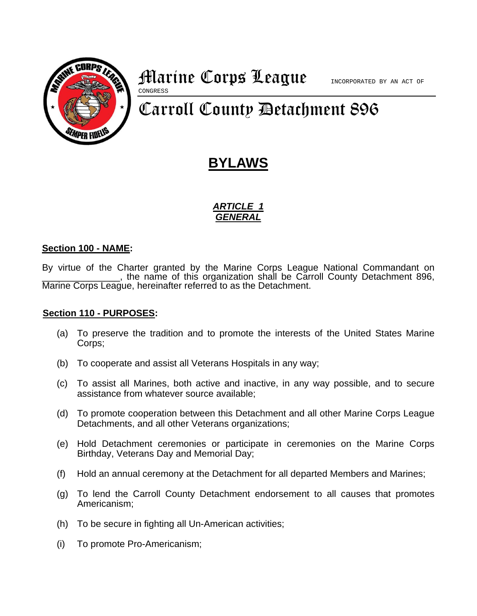

## **Marine Corps League** Incorporated by AN ACT OF CONGRESS

# Carroll County Detachment 896

## **BYLAWS**

## *ARTICLE 1 GENERAL*

## **Section 100 - NAME:**

By virtue of the Charter granted by the Marine Corps League National Commandant on \_\_\_\_\_\_\_\_\_\_\_\_\_\_\_, the name of this organization shall be Carroll County Detachment 896, Marine Corps League, hereinafter referred to as the Detachment.

## **Section 110 - PURPOSES:**

- (a) To preserve the tradition and to promote the interests of the United States Marine Corps;
- (b) To cooperate and assist all Veterans Hospitals in any way;
- (c) To assist all Marines, both active and inactive, in any way possible, and to secure assistance from whatever source available;
- (d) To promote cooperation between this Detachment and all other Marine Corps League Detachments, and all other Veterans organizations;
- (e) Hold Detachment ceremonies or participate in ceremonies on the Marine Corps Birthday, Veterans Day and Memorial Day;
- (f) Hold an annual ceremony at the Detachment for all departed Members and Marines;
- (g) To lend the Carroll County Detachment endorsement to all causes that promotes Americanism;
- (h) To be secure in fighting all Un-American activities;
- (i) To promote Pro-Americanism;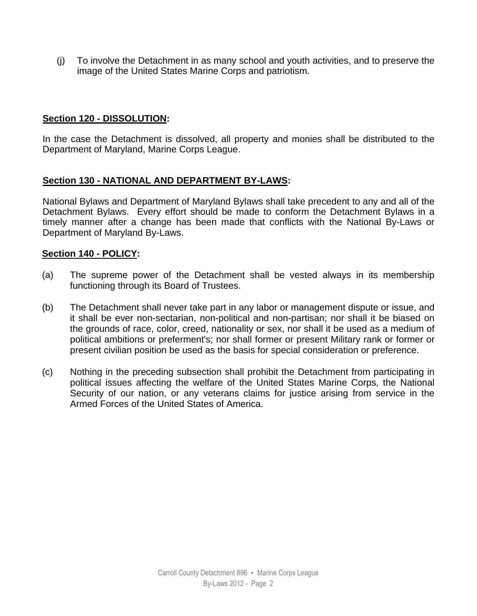(j) To involve the Detachment in as many school and youth activities, and to preserve the image of the United States Marine Corps and patriotism.

## **Section 120 - DISSOLUTION:**

In the case the Detachment is dissolved, all property and monies shall be distributed to the Department of Maryland, Marine Corps League.

## **Section 130 - NATIONAL AND DEPARTMENT BY-LAWS:**

National Bylaws and Department of Maryland Bylaws shall take precedent to any and all of the Detachment Bylaws. Every effort should be made to conform the Detachment Bylaws in a timely manner after a change has been made that conflicts with the National By-Laws or Department of Maryland By-Laws.

## **Section 140 - POLICY:**

- (a) The supreme power of the Detachment shall be vested always in its membership functioning through its Board of Trustees.
- (b) The Detachment shall never take part in any labor or management dispute or issue, and it shall be ever non-sectarian, non-political and non-partisan; nor shall it be biased on the grounds of race, color, creed, nationality or sex, nor shall it be used as a medium of political ambitions or preferment's; nor shall former or present Military rank or former or present civilian position be used as the basis for special consideration or preference.
- (c) Nothing in the preceding subsection shall prohibit the Detachment from participating in political issues affecting the welfare of the United States Marine Corps, the National Security of our nation, or any veterans claims for justice arising from service in the Armed Forces of the United States of America.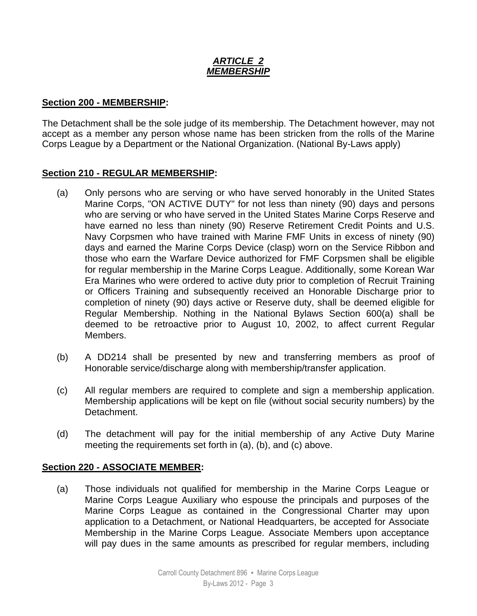## *ARTICLE 2 MEMBERSHIP*

## **Section 200 - MEMBERSHIP:**

The Detachment shall be the sole judge of its membership. The Detachment however, may not accept as a member any person whose name has been stricken from the rolls of the Marine Corps League by a Department or the National Organization. (National By-Laws apply)

## **Section 210 - REGULAR MEMBERSHIP:**

- (a) Only persons who are serving or who have served honorably in the United States Marine Corps, "ON ACTIVE DUTY" for not less than ninety (90) days and persons who are serving or who have served in the United States Marine Corps Reserve and have earned no less than ninety (90) Reserve Retirement Credit Points and U.S. Navy Corpsmen who have trained with Marine FMF Units in excess of ninety (90) days and earned the Marine Corps Device (clasp) worn on the Service Ribbon and those who earn the Warfare Device authorized for FMF Corpsmen shall be eligible for regular membership in the Marine Corps League. Additionally, some Korean War Era Marines who were ordered to active duty prior to completion of Recruit Training or Officers Training and subsequently received an Honorable Discharge prior to completion of ninety (90) days active or Reserve duty, shall be deemed eligible for Regular Membership. Nothing in the National Bylaws Section 600(a) shall be deemed to be retroactive prior to August 10, 2002, to affect current Regular Members.
- (b) A DD214 shall be presented by new and transferring members as proof of Honorable service/discharge along with membership/transfer application.
- (c) All regular members are required to complete and sign a membership application. Membership applications will be kept on file (without social security numbers) by the Detachment.
- (d) The detachment will pay for the initial membership of any Active Duty Marine meeting the requirements set forth in (a), (b), and (c) above.

## **Section 220 - ASSOCIATE MEMBER:**

(a) Those individuals not qualified for membership in the Marine Corps League or Marine Corps League Auxiliary who espouse the principals and purposes of the Marine Corps League as contained in the Congressional Charter may upon application to a Detachment, or National Headquarters, be accepted for Associate Membership in the Marine Corps League. Associate Members upon acceptance will pay dues in the same amounts as prescribed for regular members, including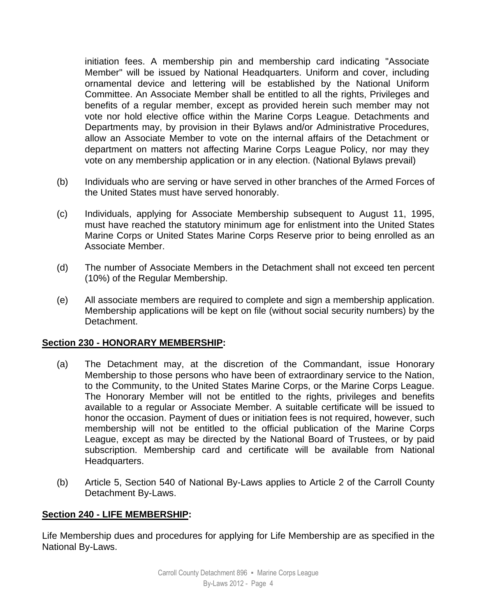initiation fees. A membership pin and membership card indicating "Associate Member" will be issued by National Headquarters. Uniform and cover, including ornamental device and lettering will be established by the National Uniform Committee. An Associate Member shall be entitled to all the rights, Privileges and benefits of a regular member, except as provided herein such member may not vote nor hold elective office within the Marine Corps League. Detachments and Departments may, by provision in their Bylaws and/or Administrative Procedures, allow an Associate Member to vote on the internal affairs of the Detachment or department on matters not affecting Marine Corps League Policy, nor may they vote on any membership application or in any election. (National Bylaws prevail)

- (b) Individuals who are serving or have served in other branches of the Armed Forces of the United States must have served honorably.
- (c) Individuals, applying for Associate Membership subsequent to August 11, 1995, must have reached the statutory minimum age for enlistment into the United States Marine Corps or United States Marine Corps Reserve prior to being enrolled as an Associate Member.
- (d) The number of Associate Members in the Detachment shall not exceed ten percent (10%) of the Regular Membership.
- (e) All associate members are required to complete and sign a membership application. Membership applications will be kept on file (without social security numbers) by the Detachment.

## **Section 230 - HONORARY MEMBERSHIP:**

- (a) The Detachment may, at the discretion of the Commandant, issue Honorary Membership to those persons who have been of extraordinary service to the Nation, to the Community, to the United States Marine Corps, or the Marine Corps League. The Honorary Member will not be entitled to the rights, privileges and benefits available to a regular or Associate Member. A suitable certificate will be issued to honor the occasion. Payment of dues or initiation fees is not required, however, such membership will not be entitled to the official publication of the Marine Corps League, except as may be directed by the National Board of Trustees, or by paid subscription. Membership card and certificate will be available from National Headquarters.
- (b) Article 5, Section 540 of National By-Laws applies to Article 2 of the Carroll County Detachment By-Laws.

## **Section 240 - LIFE MEMBERSHIP:**

Life Membership dues and procedures for applying for Life Membership are as specified in the National By-Laws.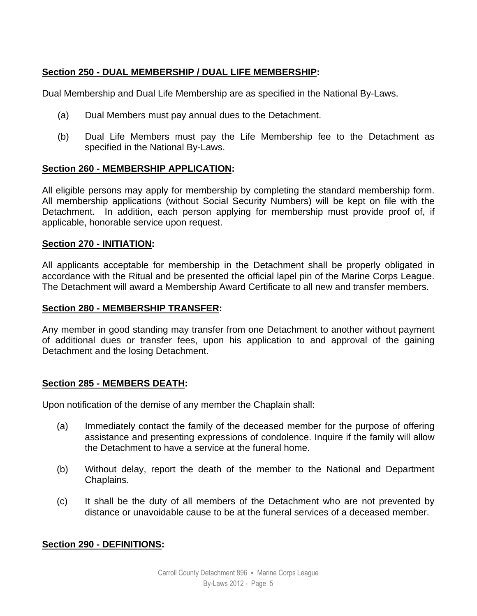## **Section 250 - DUAL MEMBERSHIP / DUAL LIFE MEMBERSHIP:**

Dual Membership and Dual Life Membership are as specified in the National By-Laws.

- (a) Dual Members must pay annual dues to the Detachment.
- (b) Dual Life Members must pay the Life Membership fee to the Detachment as specified in the National By-Laws.

## **Section 260 - MEMBERSHIP APPLICATION:**

All eligible persons may apply for membership by completing the standard membership form. All membership applications (without Social Security Numbers) will be kept on file with the Detachment. In addition, each person applying for membership must provide proof of, if applicable, honorable service upon request.

## **Section 270 - INITIATION:**

All applicants acceptable for membership in the Detachment shall be properly obligated in accordance with the Ritual and be presented the official lapel pin of the Marine Corps League. The Detachment will award a Membership Award Certificate to all new and transfer members.

## **Section 280 - MEMBERSHIP TRANSFER:**

Any member in good standing may transfer from one Detachment to another without payment of additional dues or transfer fees, upon his application to and approval of the gaining Detachment and the losing Detachment.

## **Section 285 - MEMBERS DEATH:**

Upon notification of the demise of any member the Chaplain shall:

- (a) Immediately contact the family of the deceased member for the purpose of offering assistance and presenting expressions of condolence. Inquire if the family will allow the Detachment to have a service at the funeral home.
- (b) Without delay, report the death of the member to the National and Department Chaplains.
- (c) It shall be the duty of all members of the Detachment who are not prevented by distance or unavoidable cause to be at the funeral services of a deceased member.

## **Section 290 - DEFINITIONS:**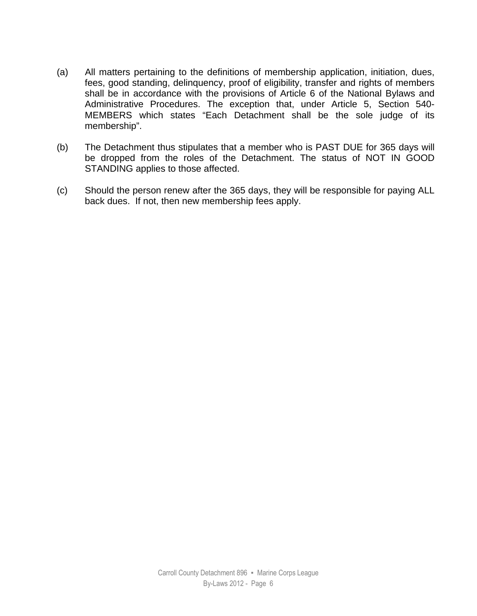- (a) All matters pertaining to the definitions of membership application, initiation, dues, fees, good standing, delinquency, proof of eligibility, transfer and rights of members shall be in accordance with the provisions of Article 6 of the National Bylaws and Administrative Procedures. The exception that, under Article 5, Section 540- MEMBERS which states "Each Detachment shall be the sole judge of its membership".
- (b) The Detachment thus stipulates that a member who is PAST DUE for 365 days will be dropped from the roles of the Detachment. The status of NOT IN GOOD STANDING applies to those affected.
- (c) Should the person renew after the 365 days, they will be responsible for paying ALL back dues. If not, then new membership fees apply.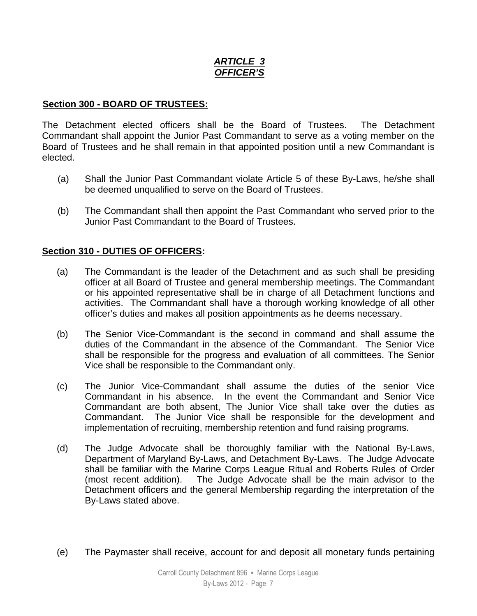## *ARTICLE 3 OFFICER'S*

## **Section 300 - BOARD OF TRUSTEES:**

The Detachment elected officers shall be the Board of Trustees. The Detachment Commandant shall appoint the Junior Past Commandant to serve as a voting member on the Board of Trustees and he shall remain in that appointed position until a new Commandant is elected.

- (a) Shall the Junior Past Commandant violate Article 5 of these By-Laws, he/she shall be deemed unqualified to serve on the Board of Trustees.
- (b) The Commandant shall then appoint the Past Commandant who served prior to the Junior Past Commandant to the Board of Trustees.

## **Section 310 - DUTIES OF OFFICERS:**

- (a) The Commandant is the leader of the Detachment and as such shall be presiding officer at all Board of Trustee and general membership meetings. The Commandant or his appointed representative shall be in charge of all Detachment functions and activities. The Commandant shall have a thorough working knowledge of all other officer's duties and makes all position appointments as he deems necessary.
- (b) The Senior Vice-Commandant is the second in command and shall assume the duties of the Commandant in the absence of the Commandant. The Senior Vice shall be responsible for the progress and evaluation of all committees. The Senior Vice shall be responsible to the Commandant only.
- (c) The Junior Vice-Commandant shall assume the duties of the senior Vice Commandant in his absence. In the event the Commandant and Senior Vice Commandant are both absent, The Junior Vice shall take over the duties as Commandant. The Junior Vice shall be responsible for the development and implementation of recruiting, membership retention and fund raising programs.
- (d) The Judge Advocate shall be thoroughly familiar with the National By-Laws, Department of Maryland By-Laws, and Detachment By-Laws. The Judge Advocate shall be familiar with the Marine Corps League Ritual and Roberts Rules of Order (most recent addition). The Judge Advocate shall be the main advisor to the Detachment officers and the general Membership regarding the interpretation of the By-Laws stated above.
- (e) The Paymaster shall receive, account for and deposit all monetary funds pertaining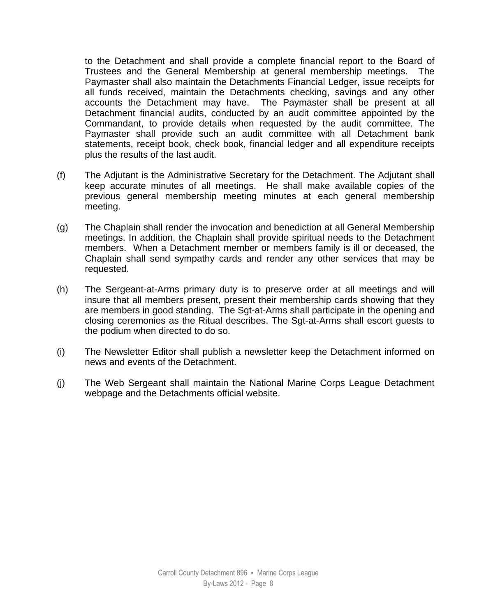to the Detachment and shall provide a complete financial report to the Board of Trustees and the General Membership at general membership meetings. The Paymaster shall also maintain the Detachments Financial Ledger, issue receipts for all funds received, maintain the Detachments checking, savings and any other accounts the Detachment may have. The Paymaster shall be present at all Detachment financial audits, conducted by an audit committee appointed by the Commandant, to provide details when requested by the audit committee. The Paymaster shall provide such an audit committee with all Detachment bank statements, receipt book, check book, financial ledger and all expenditure receipts plus the results of the last audit.

- (f) The Adjutant is the Administrative Secretary for the Detachment. The Adjutant shall keep accurate minutes of all meetings. He shall make available copies of the previous general membership meeting minutes at each general membership meeting.
- (g) The Chaplain shall render the invocation and benediction at all General Membership meetings. In addition, the Chaplain shall provide spiritual needs to the Detachment members. When a Detachment member or members family is ill or deceased, the Chaplain shall send sympathy cards and render any other services that may be requested.
- (h) The Sergeant-at-Arms primary duty is to preserve order at all meetings and will insure that all members present, present their membership cards showing that they are members in good standing. The Sgt-at-Arms shall participate in the opening and closing ceremonies as the Ritual describes. The Sgt-at-Arms shall escort guests to the podium when directed to do so.
- (i) The Newsletter Editor shall publish a newsletter keep the Detachment informed on news and events of the Detachment.
- (j) The Web Sergeant shall maintain the National Marine Corps League Detachment webpage and the Detachments official website.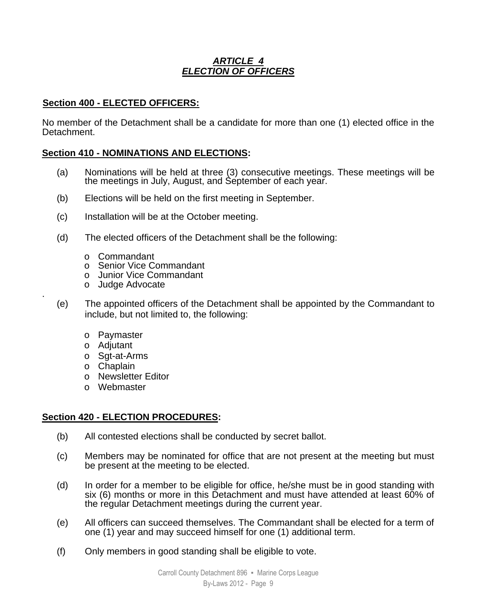## *ARTICLE 4 ELECTION OF OFFICERS*

## **Section 400 - ELECTED OFFICERS:**

No member of the Detachment shall be a candidate for more than one (1) elected office in the Detachment.

## **Section 410 - NOMINATIONS AND ELECTIONS:**

- (a) Nominations will be held at three (3) consecutive meetings. These meetings will be the meetings in July, August, and September of each year.
- (b) Elections will be held on the first meeting in September.
- (c) Installation will be at the October meeting.
- (d) The elected officers of the Detachment shall be the following:
	- o Commandant
	- o Senior Vice Commandant
	- o Junior Vice Commandant
	- o Judge Advocate
- (e) The appointed officers of the Detachment shall be appointed by the Commandant to include, but not limited to, the following:
	- o Paymaster
	- o Adjutant

.

- o Sgt-at-Arms
- o Chaplain
- o Newsletter Editor
- o Webmaster

## **Section 420 - ELECTION PROCEDURES:**

- (b) All contested elections shall be conducted by secret ballot.
- (c) Members may be nominated for office that are not present at the meeting but must be present at the meeting to be elected.
- (d) In order for a member to be eligible for office, he/she must be in good standing with six (6) months or more in this Detachment and must have attended at least 60% of the regular Detachment meetings during the current year.
- (e) All officers can succeed themselves. The Commandant shall be elected for a term of one (1) year and may succeed himself for one (1) additional term.
- (f) Only members in good standing shall be eligible to vote.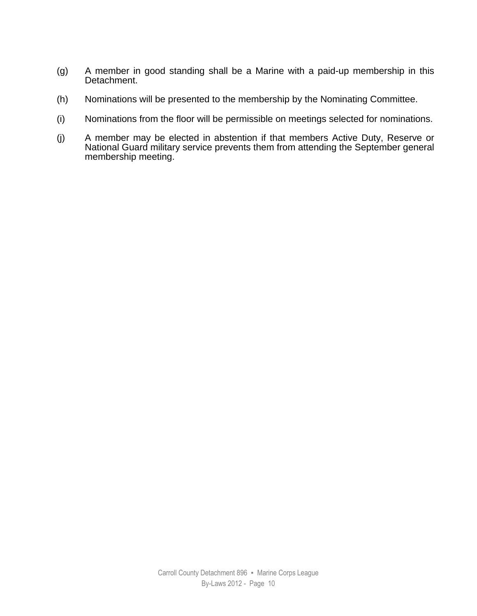- (g) A member in good standing shall be a Marine with a paid-up membership in this Detachment.
- (h) Nominations will be presented to the membership by the Nominating Committee.
- (i) Nominations from the floor will be permissible on meetings selected for nominations.
- (j) A member may be elected in abstention if that members Active Duty, Reserve or National Guard military service prevents them from attending the September general membership meeting.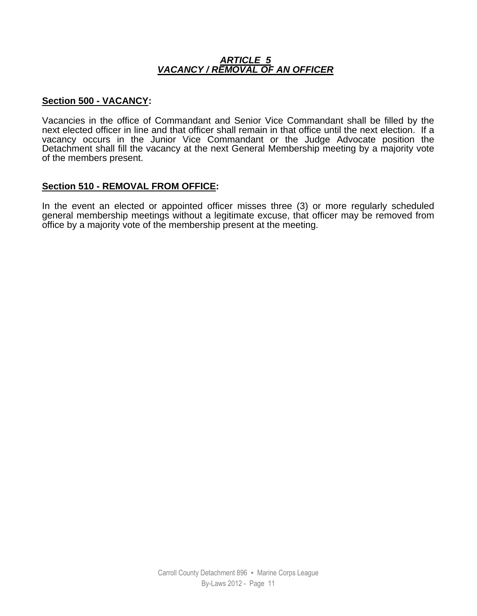#### *ARTICLE 5 VACANCY / REMOVAL OF AN OFFICER*

#### **Section 500 - VACANCY:**

Vacancies in the office of Commandant and Senior Vice Commandant shall be filled by the next elected officer in line and that officer shall remain in that office until the next election. If a vacancy occurs in the Junior Vice Commandant or the Judge Advocate position the Detachment shall fill the vacancy at the next General Membership meeting by a majority vote of the members present.

## **Section 510 - REMOVAL FROM OFFICE:**

In the event an elected or appointed officer misses three (3) or more regularly scheduled general membership meetings without a legitimate excuse, that officer may be removed from office by a majority vote of the membership present at the meeting.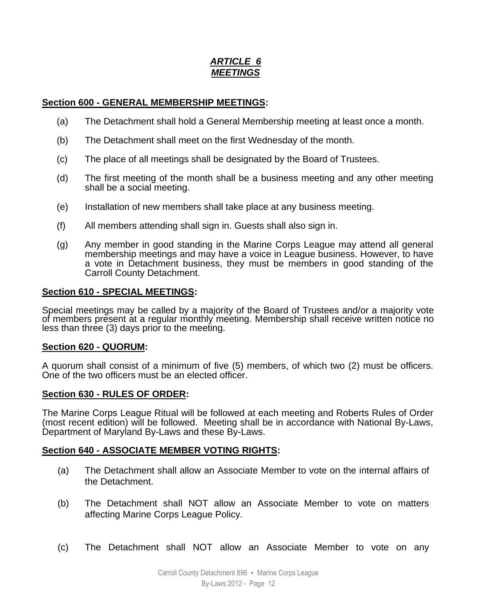## *ARTICLE 6 MEETINGS*

## **Section 600 - GENERAL MEMBERSHIP MEETINGS:**

- (a) The Detachment shall hold a General Membership meeting at least once a month.
- (b) The Detachment shall meet on the first Wednesday of the month.
- (c) The place of all meetings shall be designated by the Board of Trustees.
- (d) The first meeting of the month shall be a business meeting and any other meeting shall be a social meeting.
- (e) Installation of new members shall take place at any business meeting.
- (f) All members attending shall sign in. Guests shall also sign in.
- (g) Any member in good standing in the Marine Corps League may attend all general membership meetings and may have a voice in League business. However, to have a vote in Detachment business, they must be members in good standing of the Carroll County Detachment.

#### **Section 610 - SPECIAL MEETINGS:**

Special meetings may be called by a majority of the Board of Trustees and/or a majority vote of members present at a regular monthly meeting. Membership shall receive written notice no less than three (3) days prior to the meeting.

#### **Section 620 - QUORUM:**

A quorum shall consist of a minimum of five (5) members, of which two (2) must be officers. One of the two officers must be an elected officer.

## **Section 630 - RULES OF ORDER:**

The Marine Corps League Ritual will be followed at each meeting and Roberts Rules of Order (most recent edition) will be followed. Meeting shall be in accordance with National By-Laws, Department of Maryland By-Laws and these By-Laws.

## **Section 640 - ASSOCIATE MEMBER VOTING RIGHTS:**

- (a) The Detachment shall allow an Associate Member to vote on the internal affairs of the Detachment.
- (b) The Detachment shall NOT allow an Associate Member to vote on matters affecting Marine Corps League Policy.
- (c) The Detachment shall NOT allow an Associate Member to vote on any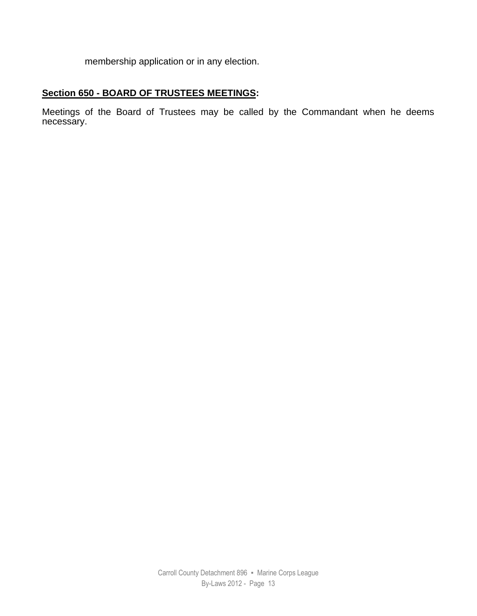membership application or in any election.

## **Section 650 - BOARD OF TRUSTEES MEETINGS:**

Meetings of the Board of Trustees may be called by the Commandant when he deems necessary.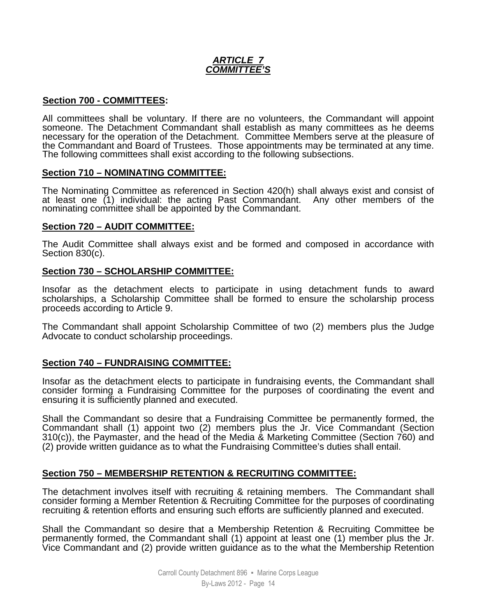## *ARTICLE 7 COMMITTEE'S*

#### **Section 700 - COMMITTEES:**

All committees shall be voluntary. If there are no volunteers, the Commandant will appoint someone. The Detachment Commandant shall establish as many committees as he deems necessary for the operation of the Detachment. Committee Members serve at the pleasure of the Commandant and Board of Trustees. Those appointments may be terminated at any time. The following committees shall exist according to the following subsections.

#### **Section 710 – NOMINATING COMMITTEE:**

The Nominating Committee as referenced in Section 420(h) shall always exist and consist of at least one (1) individual: the acting Past Commandant. Any other members of the at least one (1) individual: the acting Past Commandant. Any other members of the nominating committee shall be appointed by the Commandant.

#### **Section 720 – AUDIT COMMITTEE:**

The Audit Committee shall always exist and be formed and composed in accordance with Section 830(c).

#### **Section 730 – SCHOLARSHIP COMMITTEE:**

Insofar as the detachment elects to participate in using detachment funds to award scholarships, a Scholarship Committee shall be formed to ensure the scholarship process proceeds according to Article 9.

The Commandant shall appoint Scholarship Committee of two (2) members plus the Judge Advocate to conduct scholarship proceedings.

#### **Section 740 – FUNDRAISING COMMITTEE:**

Insofar as the detachment elects to participate in fundraising events, the Commandant shall consider forming a Fundraising Committee for the purposes of coordinating the event and ensuring it is sufficiently planned and executed.

Shall the Commandant so desire that a Fundraising Committee be permanently formed, the Commandant shall (1) appoint two (2) members plus the Jr. Vice Commandant (Section 310(c)), the Paymaster, and the head of the Media & Marketing Committee (Section 760) and (2) provide written guidance as to what the Fundraising Committee's duties shall entail.

#### **Section 750 – MEMBERSHIP RETENTION & RECRUITING COMMITTEE:**

The detachment involves itself with recruiting & retaining members. The Commandant shall consider forming a Member Retention & Recruiting Committee for the purposes of coordinating recruiting & retention efforts and ensuring such efforts are sufficiently planned and executed.

Shall the Commandant so desire that a Membership Retention & Recruiting Committee be permanently formed, the Commandant shall (1) appoint at least one (1) member plus the Jr. Vice Commandant and (2) provide written guidance as to the what the Membership Retention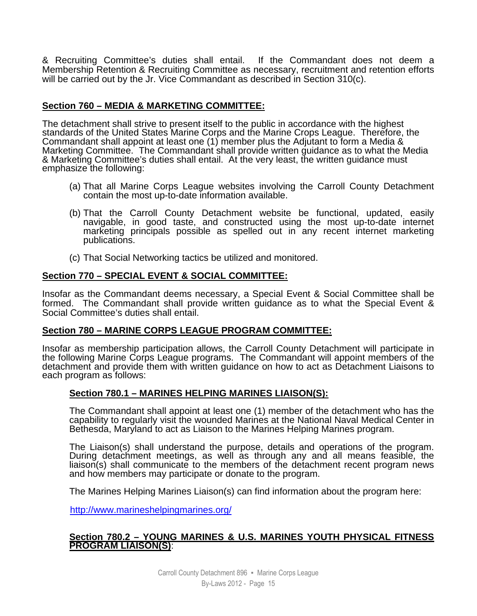& Recruiting Committee's duties shall entail. If the Commandant does not deem a Membership Retention & Recruiting Committee as necessary, recruitment and retention efforts will be carried out by the Jr. Vice Commandant as described in Section 310(c).

## **Section 760 – MEDIA & MARKETING COMMITTEE:**

The detachment shall strive to present itself to the public in accordance with the highest standards of the United States Marine Corps and the Marine Crops League. Therefore, the Commandant shall appoint at least one (1) member plus the Adjutant to form a Media & Marketing Committee. The Commandant shall provide written guidance as to what the Media & Marketing Committee's duties shall entail. At the very least, the written guidance must emphasize the following:

- (a) That all Marine Corps League websites involving the Carroll County Detachment contain the most up-to-date information available.
- (b) That the Carroll County Detachment website be functional, updated, easily navigable, in good taste, and constructed using the most up-to-date internet marketing principals possible as spelled out in any recent internet marketing publications.
- (c) That Social Networking tactics be utilized and monitored.

#### **Section 770 – SPECIAL EVENT & SOCIAL COMMITTEE:**

Insofar as the Commandant deems necessary, a Special Event & Social Committee shall be formed. The Commandant shall provide written guidance as to what the Special Event & Social Committee's duties shall entail.

#### **Section 780 – MARINE CORPS LEAGUE PROGRAM COMMITTEE:**

Insofar as membership participation allows, the Carroll County Detachment will participate in the following Marine Corps League programs. The Commandant will appoint members of the detachment and provide them with written guidance on how to act as Detachment Liaisons to each program as follows:

#### **Section 780.1 – MARINES HELPING MARINES LIAISON(S):**

The Commandant shall appoint at least one (1) member of the detachment who has the capability to regularly visit the wounded Marines at the National Naval Medical Center in Bethesda, Maryland to act as Liaison to the Marines Helping Marines program.

The Liaison(s) shall understand the purpose, details and operations of the program. During detachment meetings, as well as through any and all means feasible, the liaison(s) shall communicate to the members of the detachment recent program news and how members may participate or donate to the program.

The Marines Helping Marines Liaison(s) can find information about the program here:

http://www.marineshelpingmarines.org/

#### **Section 780.2 – YOUNG MARINES & U.S. MARINES YOUTH PHYSICAL FITNESS PROGRAM LIAISON(S)**: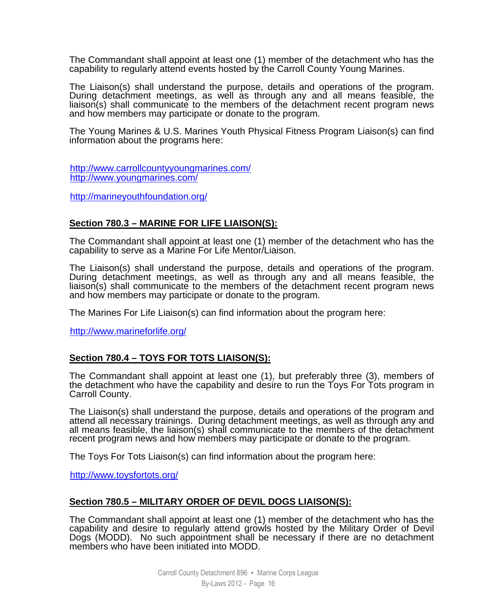The Commandant shall appoint at least one (1) member of the detachment who has the capability to regularly attend events hosted by the Carroll County Young Marines.

The Liaison(s) shall understand the purpose, details and operations of the program. During detachment meetings, as well as through any and all means feasible, the liaison(s) shall communicate to the members of the detachment recent program news and how members may participate or donate to the program.

The Young Marines & U.S. Marines Youth Physical Fitness Program Liaison(s) can find information about the programs here:

http://www.carrollcountyyoungmarines.com/ http://www.youngmarines.com/

http://marineyouthfoundation.org/

#### **Section 780.3 – MARINE FOR LIFE LIAISON(S):**

The Commandant shall appoint at least one (1) member of the detachment who has the capability to serve as a Marine For Life Mentor/Liaison.

The Liaison(s) shall understand the purpose, details and operations of the program. During detachment meetings, as well as through any and all means feasible, the liaison(s) shall communicate to the members of the detachment recent program news and how members may participate or donate to the program.

The Marines For Life Liaison(s) can find information about the program here:

http://www.marineforlife.org/

#### **Section 780.4 – TOYS FOR TOTS LIAISON(S):**

The Commandant shall appoint at least one (1), but preferably three (3), members of the detachment who have the capability and desire to run the Toys For Tots program in Carroll County.

The Liaison(s) shall understand the purpose, details and operations of the program and attend all necessary trainings. During detachment meetings, as well as through any and all means feasible, the liaison(s) shall communicate to the members of the detachment recent program news and how members may participate or donate to the program.

The Toys For Tots Liaison(s) can find information about the program here:

http://www.toysfortots.org/

#### **Section 780.5 – MILITARY ORDER OF DEVIL DOGS LIAISON(S):**

The Commandant shall appoint at least one (1) member of the detachment who has the capability and desire to regularly attend growls hosted by the Military Order of Devil Dogs (MODD). No such appointment shall be necessary if there are no detachment members who have been initiated into MODD.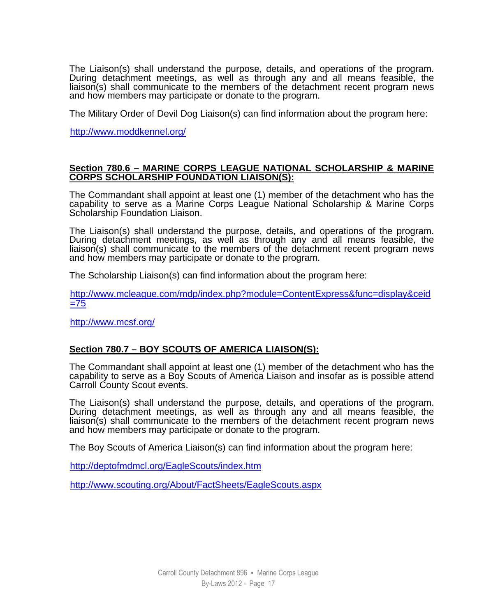The Liaison(s) shall understand the purpose, details, and operations of the program. During detachment meetings, as well as through any and all means feasible, the liaison(s) shall communicate to the members of the detachment recent program news and how members may participate or donate to the program.

The Military Order of Devil Dog Liaison(s) can find information about the program here:

http://www.moddkennel.org/

#### **Section 780.6 – MARINE CORPS LEAGUE NATIONAL SCHOLARSHIP & MARINE CORPS SCHOLARSHIP FOUNDATION LIAISON(S):**

The Commandant shall appoint at least one (1) member of the detachment who has the capability to serve as a Marine Corps League National Scholarship & Marine Corps Scholarship Foundation Liaison.

The Liaison(s) shall understand the purpose, details, and operations of the program. During detachment meetings, as well as through any and all means feasible, the liaison(s) shall communicate to the members of the detachment recent program news and how members may participate or donate to the program.

The Scholarship Liaison(s) can find information about the program here:

http://www.mcleague.com/mdp/index.php?module=ContentExpress&func=display&ceid  $=75$ 

http://www.mcsf.org/

#### **Section 780.7 – BOY SCOUTS OF AMERICA LIAISON(S):**

The Commandant shall appoint at least one (1) member of the detachment who has the capability to serve as a Boy Scouts of America Liaison and insofar as is possible attend Carroll County Scout events.

The Liaison(s) shall understand the purpose, details, and operations of the program. During detachment meetings, as well as through any and all means feasible, the liaison(s) shall communicate to the members of the detachment recent program news and how members may participate or donate to the program.

The Boy Scouts of America Liaison(s) can find information about the program here:

http://deptofmdmcl.org/EagleScouts/index.htm

http://www.scouting.org/About/FactSheets/EagleScouts.aspx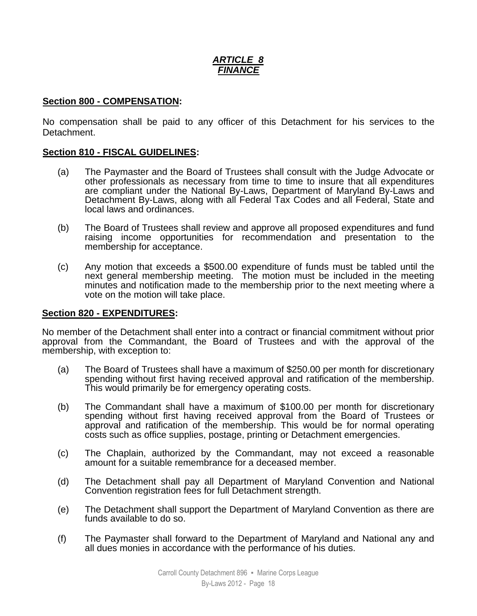## *ARTICLE 8 FINANCE*

#### **Section 800 - COMPENSATION:**

No compensation shall be paid to any officer of this Detachment for his services to the Detachment.

#### **Section 810 - FISCAL GUIDELINES:**

- (a) The Paymaster and the Board of Trustees shall consult with the Judge Advocate or other professionals as necessary from time to time to insure that all expenditures are compliant under the National By-Laws, Department of Maryland By-Laws and Detachment By-Laws, along with all Federal Tax Codes and all Federal, State and local laws and ordinances.
- (b) The Board of Trustees shall review and approve all proposed expenditures and fund raising income opportunities for recommendation and presentation to the membership for acceptance.
- (c) Any motion that exceeds a \$500.00 expenditure of funds must be tabled until the next general membership meeting. The motion must be included in the meeting minutes and notification made to the membership prior to the next meeting where a vote on the motion will take place.

#### **Section 820 - EXPENDITURES:**

No member of the Detachment shall enter into a contract or financial commitment without prior approval from the Commandant, the Board of Trustees and with the approval of the membership, with exception to:

- (a) The Board of Trustees shall have a maximum of \$250.00 per month for discretionary spending without first having received approval and ratification of the membership. This would primarily be for emergency operating costs.
- (b) The Commandant shall have a maximum of \$100.00 per month for discretionary spending without first having received approval from the Board of Trustees or approval and ratification of the membership. This would be for normal operating costs such as office supplies, postage, printing or Detachment emergencies.
- (c) The Chaplain, authorized by the Commandant, may not exceed a reasonable amount for a suitable remembrance for a deceased member.
- (d) The Detachment shall pay all Department of Maryland Convention and National Convention registration fees for full Detachment strength.
- (e) The Detachment shall support the Department of Maryland Convention as there are funds available to do so.
- (f) The Paymaster shall forward to the Department of Maryland and National any and all dues monies in accordance with the performance of his duties.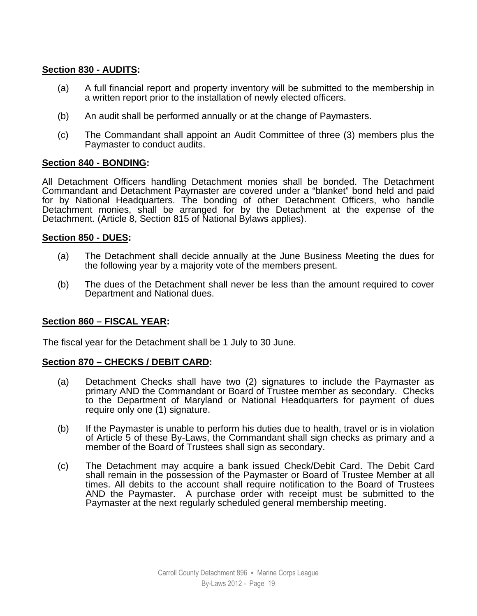## **Section 830 - AUDITS:**

- (a) A full financial report and property inventory will be submitted to the membership in a written report prior to the installation of newly elected officers.
- (b) An audit shall be performed annually or at the change of Paymasters.
- (c) The Commandant shall appoint an Audit Committee of three (3) members plus the Paymaster to conduct audits.

#### **Section 840 - BONDING:**

All Detachment Officers handling Detachment monies shall be bonded. The Detachment Commandant and Detachment Paymaster are covered under a "blanket" bond held and paid for by National Headquarters. The bonding of other Detachment Officers, who handle Detachment monies, shall be arranged for by the Detachment at the expense of the Detachment. (Article 8, Section 815 of National Bylaws applies).

#### **Section 850 - DUES:**

- (a) The Detachment shall decide annually at the June Business Meeting the dues for the following year by a majority vote of the members present.
- (b) The dues of the Detachment shall never be less than the amount required to cover Department and National dues.

## **Section 860 – FISCAL YEAR:**

The fiscal year for the Detachment shall be 1 July to 30 June.

## **Section 870 – CHECKS / DEBIT CARD:**

- (a) Detachment Checks shall have two (2) signatures to include the Paymaster as primary AND the Commandant or Board of Trustee member as secondary. Checks to the Department of Maryland or National Headquarters for payment of dues require only one (1) signature.
- (b) If the Paymaster is unable to perform his duties due to health, travel or is in violation of Article 5 of these By-Laws, the Commandant shall sign checks as primary and a member of the Board of Trustees shall sign as secondary.
- (c) The Detachment may acquire a bank issued Check/Debit Card. The Debit Card shall remain in the possession of the Paymaster or Board of Trustee Member at all times. All debits to the account shall require notification to the Board of Trustees AND the Paymaster. A purchase order with receipt must be submitted to the Paymaster at the next regularly scheduled general membership meeting.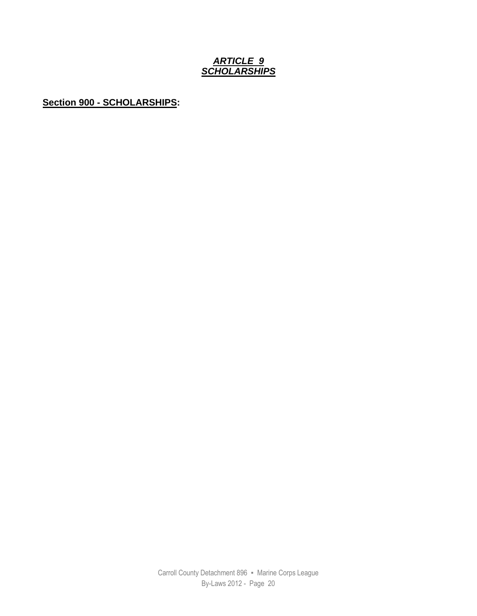## *ARTICLE 9 SCHOLARSHIPS*

**Section 900 - SCHOLARSHIPS:**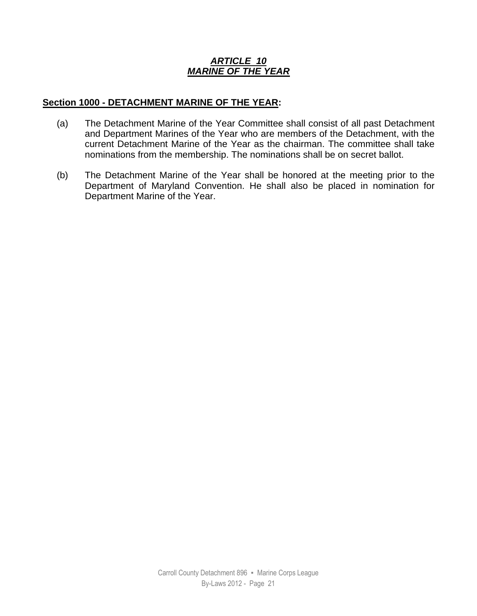## *ARTICLE 10 MARINE OF THE YEAR*

## **Section 1000 - DETACHMENT MARINE OF THE YEAR:**

- (a) The Detachment Marine of the Year Committee shall consist of all past Detachment and Department Marines of the Year who are members of the Detachment, with the current Detachment Marine of the Year as the chairman. The committee shall take nominations from the membership. The nominations shall be on secret ballot.
- (b) The Detachment Marine of the Year shall be honored at the meeting prior to the Department of Maryland Convention. He shall also be placed in nomination for Department Marine of the Year.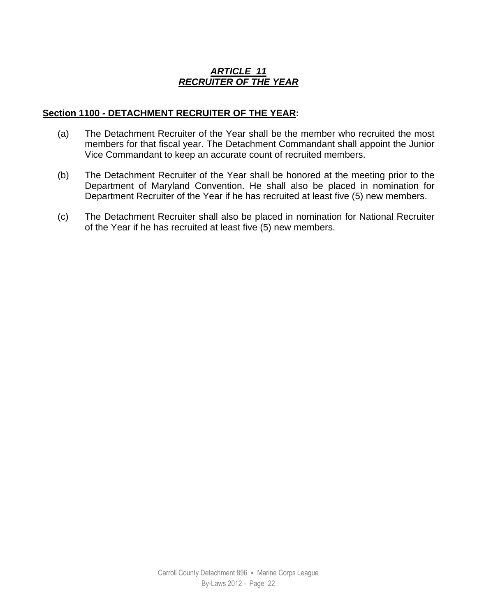## *ARTICLE 11 RECRUITER OF THE YEAR*

## **Section 1100 - DETACHMENT RECRUITER OF THE YEAR:**

- (a) The Detachment Recruiter of the Year shall be the member who recruited the most members for that fiscal year. The Detachment Commandant shall appoint the Junior Vice Commandant to keep an accurate count of recruited members.
- (b) The Detachment Recruiter of the Year shall be honored at the meeting prior to the Department of Maryland Convention. He shall also be placed in nomination for Department Recruiter of the Year if he has recruited at least five (5) new members.
- (c) The Detachment Recruiter shall also be placed in nomination for National Recruiter of the Year if he has recruited at least five (5) new members.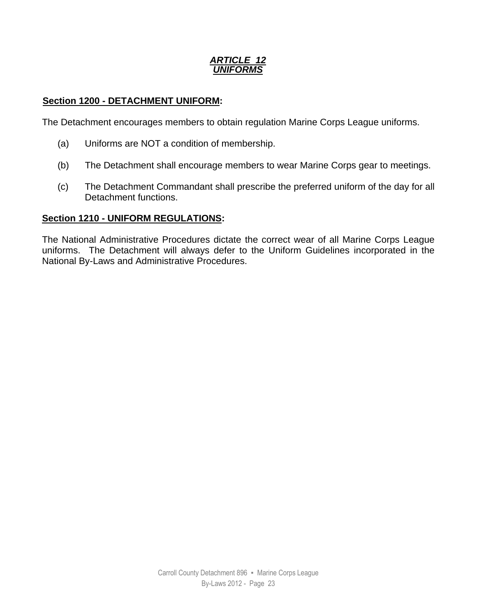## *ARTICLE 12 UNIFORMS*

## **Section 1200 - DETACHMENT UNIFORM:**

The Detachment encourages members to obtain regulation Marine Corps League uniforms.

- (a) Uniforms are NOT a condition of membership.
- (b) The Detachment shall encourage members to wear Marine Corps gear to meetings.
- (c) The Detachment Commandant shall prescribe the preferred uniform of the day for all Detachment functions.

#### **Section 1210 - UNIFORM REGULATIONS:**

The National Administrative Procedures dictate the correct wear of all Marine Corps League uniforms. The Detachment will always defer to the Uniform Guidelines incorporated in the National By-Laws and Administrative Procedures.